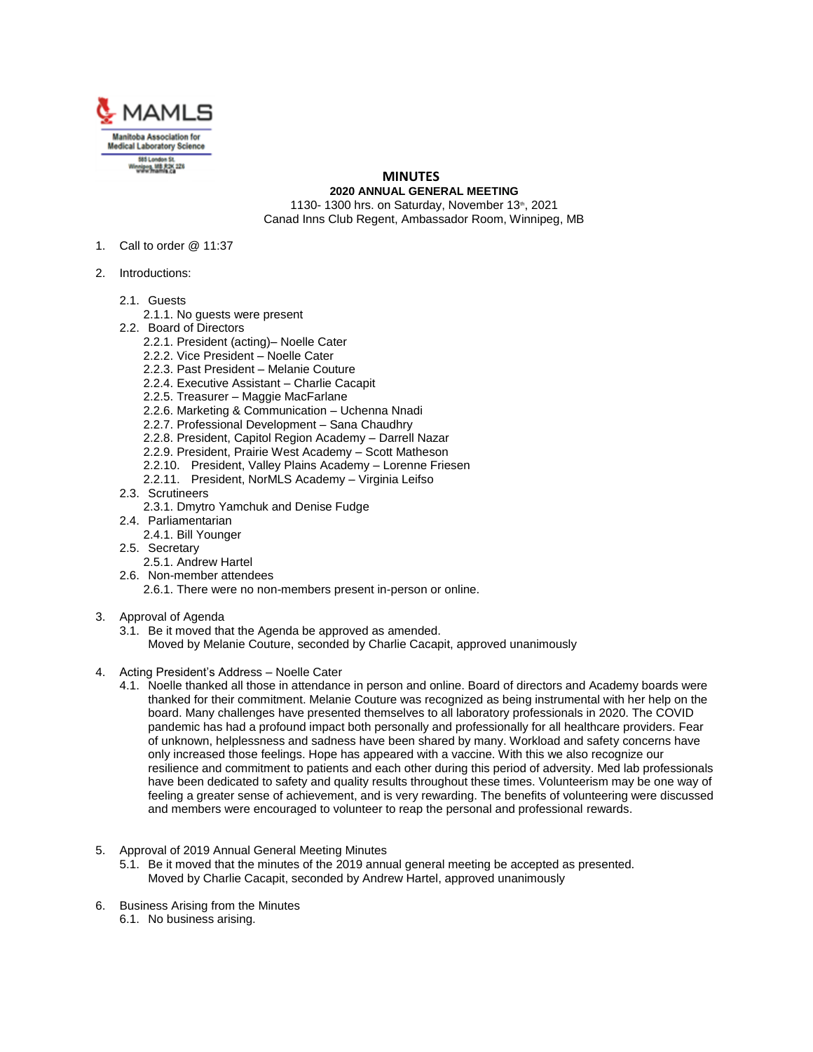

## **MINUTES 2020 ANNUAL GENERAL MEETING**

1130- 1300 hrs. on Saturday, November 13th, 2021 Canad Inns Club Regent, Ambassador Room, Winnipeg, MB

- 1. Call to order @ 11:37
- 2. Introductions:
	- 2.1. Guests
		- 2.1.1. No guests were present
	- 2.2. Board of Directors
		- 2.2.1. President (acting)– Noelle Cater
		- 2.2.2. Vice President Noelle Cater
		- 2.2.3. Past President Melanie Couture
		- 2.2.4. Executive Assistant Charlie Cacapit
		- 2.2.5. Treasurer Maggie MacFarlane
		- 2.2.6. Marketing & Communication Uchenna Nnadi
		- 2.2.7. Professional Development Sana Chaudhry
		- 2.2.8. President, Capitol Region Academy Darrell Nazar
		- 2.2.9. President, Prairie West Academy Scott Matheson
		- 2.2.10. President, Valley Plains Academy Lorenne Friesen
		- 2.2.11. President, NorMLS Academy Virginia Leifso
	- 2.3. Scrutineers
		- 2.3.1. Dmytro Yamchuk and Denise Fudge
	- 2.4. Parliamentarian
		- 2.4.1. Bill Younger
	- 2.5. Secretary
		- 2.5.1. Andrew Hartel
	- 2.6. Non-member attendees
		- 2.6.1. There were no non-members present in-person or online.
- 3. Approval of Agenda
	- 3.1. Be it moved that the Agenda be approved as amended. Moved by Melanie Couture, seconded by Charlie Cacapit, approved unanimously
- 4. Acting President's Address Noelle Cater
	- 4.1. Noelle thanked all those in attendance in person and online. Board of directors and Academy boards were thanked for their commitment. Melanie Couture was recognized as being instrumental with her help on the board. Many challenges have presented themselves to all laboratory professionals in 2020. The COVID pandemic has had a profound impact both personally and professionally for all healthcare providers. Fear of unknown, helplessness and sadness have been shared by many. Workload and safety concerns have only increased those feelings. Hope has appeared with a vaccine. With this we also recognize our resilience and commitment to patients and each other during this period of adversity. Med lab professionals have been dedicated to safety and quality results throughout these times. Volunteerism may be one way of feeling a greater sense of achievement, and is very rewarding. The benefits of volunteering were discussed and members were encouraged to volunteer to reap the personal and professional rewards.
- 5. Approval of 2019 Annual General Meeting Minutes
	- 5.1. Be it moved that the minutes of the 2019 annual general meeting be accepted as presented. Moved by Charlie Cacapit, seconded by Andrew Hartel, approved unanimously
- 6. Business Arising from the Minutes 6.1. No business arising.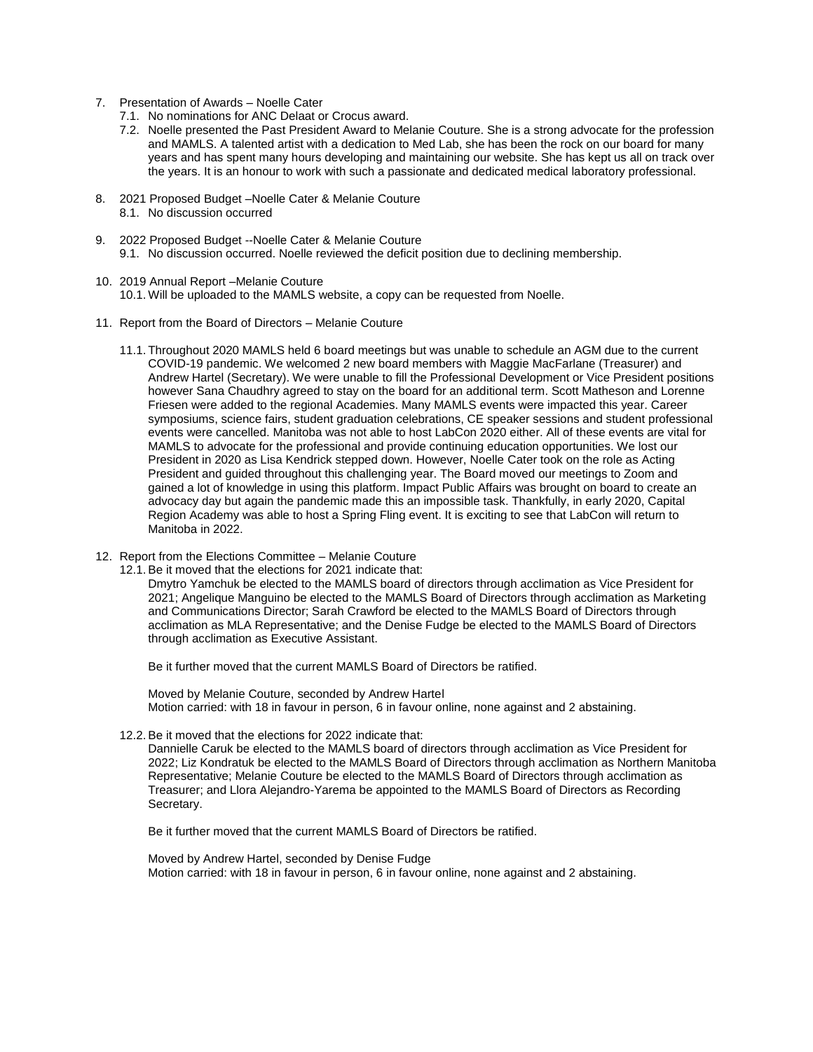- 7. Presentation of Awards Noelle Cater
	- 7.1. No nominations for ANC Delaat or Crocus award.
	- 7.2. Noelle presented the Past President Award to Melanie Couture. She is a strong advocate for the profession and MAMLS. A talented artist with a dedication to Med Lab, she has been the rock on our board for many years and has spent many hours developing and maintaining our website. She has kept us all on track over the years. It is an honour to work with such a passionate and dedicated medical laboratory professional.
- 8. 2021 Proposed Budget –Noelle Cater & Melanie Couture 8.1. No discussion occurred
- 9. 2022 Proposed Budget --Noelle Cater & Melanie Couture 9.1. No discussion occurred. Noelle reviewed the deficit position due to declining membership.
- 10. 2019 Annual Report –Melanie Couture 10.1. Will be uploaded to the MAMLS website, a copy can be requested from Noelle.
- 11. Report from the Board of Directors Melanie Couture
	- 11.1. Throughout 2020 MAMLS held 6 board meetings but was unable to schedule an AGM due to the current COVID-19 pandemic. We welcomed 2 new board members with Maggie MacFarlane (Treasurer) and Andrew Hartel (Secretary). We were unable to fill the Professional Development or Vice President positions however Sana Chaudhry agreed to stay on the board for an additional term. Scott Matheson and Lorenne Friesen were added to the regional Academies. Many MAMLS events were impacted this year. Career symposiums, science fairs, student graduation celebrations, CE speaker sessions and student professional events were cancelled. Manitoba was not able to host LabCon 2020 either. All of these events are vital for MAMLS to advocate for the professional and provide continuing education opportunities. We lost our President in 2020 as Lisa Kendrick stepped down. However, Noelle Cater took on the role as Acting President and guided throughout this challenging year. The Board moved our meetings to Zoom and gained a lot of knowledge in using this platform. Impact Public Affairs was brought on board to create an advocacy day but again the pandemic made this an impossible task. Thankfully, in early 2020, Capital Region Academy was able to host a Spring Fling event. It is exciting to see that LabCon will return to Manitoba in 2022.
- 12. Report from the Elections Committee Melanie Couture
	- 12.1.Be it moved that the elections for 2021 indicate that:

Dmytro Yamchuk be elected to the MAMLS board of directors through acclimation as Vice President for 2021; Angelique Manguino be elected to the MAMLS Board of Directors through acclimation as Marketing and Communications Director; Sarah Crawford be elected to the MAMLS Board of Directors through acclimation as MLA Representative; and the Denise Fudge be elected to the MAMLS Board of Directors through acclimation as Executive Assistant.

Be it further moved that the current MAMLS Board of Directors be ratified.

Moved by Melanie Couture, seconded by Andrew Hartel Motion carried: with 18 in favour in person, 6 in favour online, none against and 2 abstaining.

12.2.Be it moved that the elections for 2022 indicate that:

Dannielle Caruk be elected to the MAMLS board of directors through acclimation as Vice President for 2022; Liz Kondratuk be elected to the MAMLS Board of Directors through acclimation as Northern Manitoba Representative; Melanie Couture be elected to the MAMLS Board of Directors through acclimation as Treasurer; and Llora Alejandro-Yarema be appointed to the MAMLS Board of Directors as Recording Secretary.

Be it further moved that the current MAMLS Board of Directors be ratified.

Moved by Andrew Hartel, seconded by Denise Fudge Motion carried: with 18 in favour in person, 6 in favour online, none against and 2 abstaining.